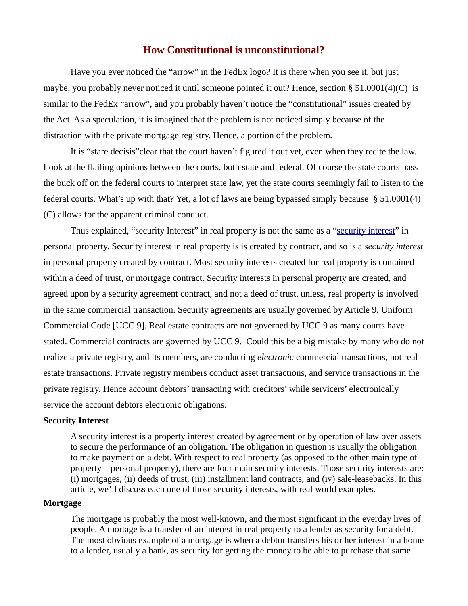Have you ever noticed the "arrow" in the FedEx logo? It is there when you see it, but just maybe, you probably never noticed it until someone pointed it out? Hence, section § 51.0001(4)(C) is similar to the FedEx "arrow", and you probably haven't notice the "constitutional" issues created by the Act. As a speculation, it is imagined that the problem is not noticed simply because of the distraction with the private mortgage registry. Hence, a portion of the problem.

It is "stare decisis"clear that the court haven't figured it out yet, even when they recite the law. Look at the flailing opinions between the courts, both state and federal. Of course the state courts pass the buck off on the federal courts to interpret state law, yet the state courts seemingly fail to listen to the federal courts. What's up with that? Yet, a lot of laws are being bypassed simply because § 51.0001(4) (C) allows for the apparent criminal conduct.

Thus explained, "security Interest" in real property is not the same as a "security interest" in personal property. Security interest in real property is is created by contract, and so is a *security interest* in personal property created by contract. Most security interests created for real property is contained within a deed of trust, or mortgage contract. Security interests in personal property are created, and agreed upon by a security agreement contract, and not a deed of trust, unless, real property is involved in the same commercial transaction. Security agreements are usually governed by Article 9, Uniform Commercial Code [UCC 9]. Real estate contracts are not governed by UCC 9 as many courts have stated. Commercial contracts are governed by UCC 9. Could this be a big mistake by many who do not realize a private registry, and its members, are conducting *electronic* commercial transactions, not real estate transactions. Private registry members conduct asset transactions, and service transactions in the private registry. Hence account debtors' transacting with creditors' while servicers' electronically service the account debtors electronic obligations.

### **Security Interest**

A security interest is a property interest created by agreement or by operation of law over assets to secure the performance of an obligation. The obligation in question is usually the obligation to make payment on a debt. With respect to real property (as opposed to the other main type of property – personal property), there are four main security interests. Those security interests are: (i) mortgages, (ii) deeds of trust, (iii) installment land contracts, and (iv) sale-leasebacks. In this article, we'll discuss each one of those security interests, with real world examples.

#### **Mortgage**

The mortgage is probably the most well-known, and the most significant in the everday lives of people. A mortage is a transfer of an interest in real property to a lender as security for a debt. The most obvious example of a mortgage is when a debtor transfers his or her interest in a home to a lender, usually a bank, as security for getting the money to be able to purchase that same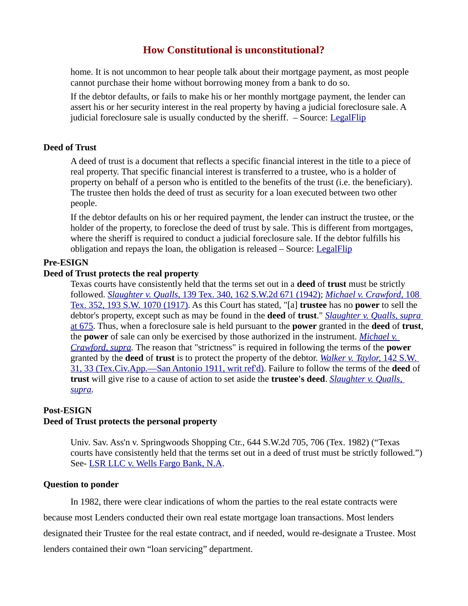home. It is not uncommon to hear people talk about their mortgage payment, as most people cannot purchase their home without borrowing money from a bank to do so.

If the debtor defaults, or fails to make his or her monthly mortgage payment, the lender can assert his or her security interest in the real property by having a judicial foreclosure sale. A judicial foreclosure sale is usually conducted by the sheriff. – Source: [LegalFlip](http://www.legalflip.com/Article.aspx?id=39&pageid=204)

# **Deed of Trust**

A deed of trust is a document that reflects a specific financial interest in the title to a piece of real property. That specific financial interest is transferred to a trustee, who is a holder of property on behalf of a person who is entitled to the benefits of the trust (i.e. the beneficiary). The trustee then holds the deed of trust as security for a loan executed between two other people.

If the debtor defaults on his or her required payment, the lender can instruct the trustee, or the holder of the property, to foreclose the deed of trust by sale. This is different from mortgages, where the sheriff is required to conduct a judicial foreclosure sale. If the debtor fulfills his obligation and repays the loan, the obligation is released – Source: [LegalFlip](http://www.legalflip.com/Article.aspx?id=39&pageid=204)

### **Pre-ESIGN**

#### **Deed of Trust protects the real property**

Texas courts have consistently held that the terms set out in a **deed** of **trust** must be strictly followed. *[Slaughter v. Qualls,](https://scholar.google.com/scholar_case?about=12475836943844738026&q=trustee)* [139 Tex. 340, 162 S.W.2d 671 \(1942\);](https://scholar.google.com/scholar_case?about=12475836943844738026&q=trustee) *[Michael v. Crawford,](https://scholar.google.com/scholar_case?about=7756079439302994621&q=trustee)* [108](https://scholar.google.com/scholar_case?about=7756079439302994621&q=trustee)  [Tex. 352, 193 S.W. 1070 \(1917\).](https://scholar.google.com/scholar_case?about=7756079439302994621&q=trustee) As this Court has stated, "[a] **trustee** has no **power** to sell the debtor's property, except such as may be found in the **deed** of **trust**." *[Slaughter v. Qualls, supra](https://scholar.google.com/scholar_case?about=12475836943844738026&q=trustee)* [at 675.](https://scholar.google.com/scholar_case?about=12475836943844738026&q=trustee) Thus, when a foreclosure sale is held pursuant to the **power** granted in the **deed** of **trust**, the **power** of sale can only be exercised by those authorized in the instrument. *[Michael v.](https://scholar.google.com/scholar_case?about=7756079439302994621&q=trustee)  [Crawford, supra.](https://scholar.google.com/scholar_case?about=7756079439302994621&q=trustee)* The reason that "strictness" is required in following the terms of the **power** granted by the **deed** of **trust** is to protect the property of the debtor. *[Walker v. Taylor,](https://scholar.google.com/scholar_case?about=7590129682067133421&q=trustee)* [142 S.W.](https://scholar.google.com/scholar_case?about=7590129682067133421&q=trustee)  [31, 33 \(Tex.Civ.App.—San Antonio 1911, writ ref'd\).](https://scholar.google.com/scholar_case?about=7590129682067133421&q=trustee) Failure to follow the terms of the **deed** of **trust** will give rise to a cause of action to set aside the **trustee's deed**. *[Slaughter v. Qualls,](https://scholar.google.com/scholar_case?about=12475836943844738026&q=trustee)  [supra.](https://scholar.google.com/scholar_case?about=12475836943844738026&q=trustee)*

# **Post-ESIGN Deed of Trust protects the personal property**

Univ. Sav. Ass'n v. Springwoods Shopping Ctr., 644 S.W.2d 705, 706 (Tex. 1982) ("Texas courts have consistently held that the terms set out in a deed of trust must be strictly followed.") See- [LSR LLC v. Wells Fargo Bank, N.A.](http://caselaw.findlaw.com/us-5th-circuit/1747334.html#footnote_4)

#### **Question to ponder**

In 1982, there were clear indications of whom the parties to the real estate contracts were

because most Lenders conducted their own real estate mortgage loan transactions. Most lenders

designated their Trustee for the real estate contract, and if needed, would re-designate a Trustee. Most

lenders contained their own "loan servicing" department.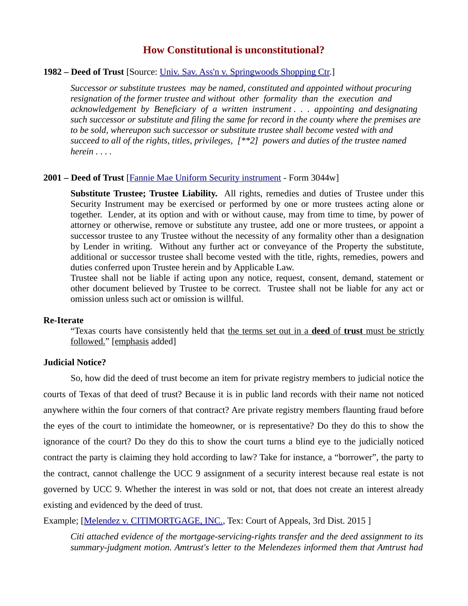### **1982 – Deed of Trust** [Source: Univ. Sav. Ass'n v. Springwoods Shopping Ctr.]

*Successor or substitute trustees may be named, constituted and appointed without procuring resignation of the former trustee and without other formality than the execution and acknowledgement by Beneficiary of a written instrument . . . appointing and designating such successor or substitute and filing the same for record in the county where the premises are to be sold, whereupon such successor or substitute trustee shall become vested with and succeed to all of the rights, titles, privileges, [\*\*2] powers and duties of the trustee named herein . . . .*

#### **2001 – Deed of Trust** [\[Fannie Mae Uniform Security instrument](https://www.fanniemae.com/singlefamily/security-instruments) - Form 3044w]

**Substitute Trustee; Trustee Liability.** All rights, remedies and duties of Trustee under this Security Instrument may be exercised or performed by one or more trustees acting alone or together. Lender, at its option and with or without cause, may from time to time, by power of attorney or otherwise, remove or substitute any trustee, add one or more trustees, or appoint a successor trustee to any Trustee without the necessity of any formality other than a designation by Lender in writing. Without any further act or conveyance of the Property the substitute, additional or successor trustee shall become vested with the title, rights, remedies, powers and duties conferred upon Trustee herein and by Applicable Law.

Trustee shall not be liable if acting upon any notice, request, consent, demand, statement or other document believed by Trustee to be correct. Trustee shall not be liable for any act or omission unless such act or omission is willful.

#### **Re-Iterate**

"Texas courts have consistently held that the terms set out in a **deed** of **trust** must be strictly followed." [emphasis added]

## **Judicial Notice?**

 So, how did the deed of trust become an item for private registry members to judicial notice the courts of Texas of that deed of trust? Because it is in public land records with their name not noticed anywhere within the four corners of that contract? Are private registry members flaunting fraud before the eyes of the court to intimidate the homeowner, or is representative? Do they do this to show the ignorance of the court? Do they do this to show the court turns a blind eye to the judicially noticed contract the party is claiming they hold according to law? Take for instance, a "borrower", the party to the contract, cannot challenge the UCC 9 assignment of a security interest because real estate is not governed by UCC 9. Whether the interest in was sold or not, that does not create an interest already existing and evidenced by the deed of trust.

Example; [\[Melendez v. CITIMORTGAGE, INC.,](https://scholar.google.com/scholar_case?q=Melendez+v+citimortgage&hl=en&as_sdt=6,44&case=7630405973476343728&scilh=0) Tex: Court of Appeals, 3rd Dist. 2015 ]

*Citi attached evidence of the mortgage-servicing-rights transfer and the deed assignment to its summary-judgment motion. Amtrust's letter to the Melendezes informed them that Amtrust had*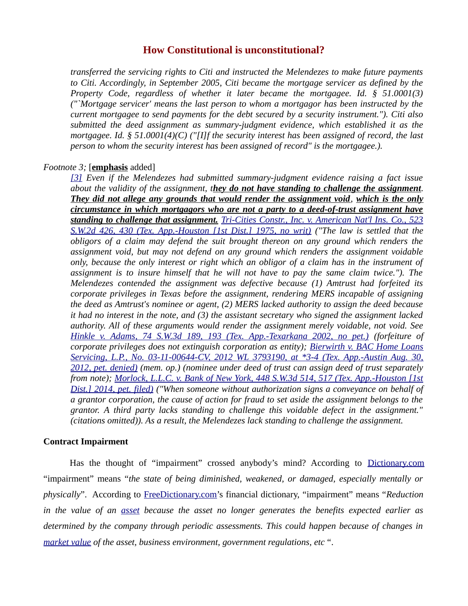*transferred the servicing rights to Citi and instructed the Melendezes to make future payments to Citi. Accordingly, in September 2005, Citi became the mortgage servicer as defined by the Property Code, regardless of whether it later became the mortgagee. Id. § 51.0001(3) ("`Mortgage servicer' means the last person to whom a mortgagor has been instructed by the current mortgagee to send payments for the debt secured by a security instrument."). Citi also submitted the deed assignment as summary-judgment evidence, which established it as the mortgagee. Id. § 51.0001(4)(C) ("[I]f the security interest has been assigned of record, the last person to whom the security interest has been assigned of record" is the mortgagee.).* 

#### *Footnote 3;* [**emphasis** added]

*[\[3\]](https://scholar.google.com/scholar_case?q=Melendez+v+citimortgage&hl=en&as_sdt=6,44&case=7630405973476343728&scilh=0#r[3]) Even if the Melendezes had submitted summary-judgment evidence raising a fact issue about the validity of the assignment, they do not have standing to challenge the assignment. They did not allege any grounds that would render the assignment void, which is the only circumstance in which mortgagors who are not a party to a deed-of-trust assignment have standing to challenge that assignment. [Tri-Cities Constr., Inc. v. American Nat'l Ins. Co., 523](https://scholar.google.com/scholar_case?case=15927954019147872966&q=Melendez+v+citimortgage&hl=en&as_sdt=6,44&scilh=0) [S.W.2d 426, 430 \(Tex. App.-Houston \[1st Dist.\] 1975, no writ\)](https://scholar.google.com/scholar_case?case=15927954019147872966&q=Melendez+v+citimortgage&hl=en&as_sdt=6,44&scilh=0) ("The law is settled that the obligors of a claim may defend the suit brought thereon on any ground which renders the assignment void, but may not defend on any ground which renders the assignment voidable only, because the only interest or right which an obligor of a claim has in the instrument of assignment is to insure himself that he will not have to pay the same claim twice."). The Melendezes contended the assignment was defective because (1) Amtrust had forfeited its corporate privileges in Texas before the assignment, rendering MERS incapable of assigning the deed as Amtrust's nominee or agent, (2) MERS lacked authority to assign the deed because it had no interest in the note, and (3) the assistant secretary who signed the assignment lacked authority. All of these arguments would render the assignment merely voidable, not void. See [Hinkle v. Adams, 74 S.W.3d 189, 193 \(Tex. App.-Texarkana 2002, no pet.\)](https://scholar.google.com/scholar_case?case=15573113611943617846&q=Melendez+v+citimortgage&hl=en&as_sdt=6,44&scilh=0) (forfeiture of corporate privileges does not extinguish corporation as entity); [Bierwirth v. BAC Home Loans](https://scholar.google.com/scholar_case?about=17334108787761228826&q=Melendez+v+citimortgage&hl=en&as_sdt=6,44&scilh=0) [Servicing, L.P., No. 03-11-00644-CV, 2012 WL 3793190, at \\*3-4 \(Tex. App.-Austin Aug. 30,](https://scholar.google.com/scholar_case?about=17334108787761228826&q=Melendez+v+citimortgage&hl=en&as_sdt=6,44&scilh=0) [2012, pet. denied\)](https://scholar.google.com/scholar_case?about=17334108787761228826&q=Melendez+v+citimortgage&hl=en&as_sdt=6,44&scilh=0) (mem. op.) (nominee under deed of trust can assign deed of trust separately from note); [Morlock, L.L.C. v. Bank of New York, 448 S.W.3d 514, 517 \(Tex. App.-Houston \[1st](https://scholar.google.com/scholar_case?case=14180542503475890097&q=Melendez+v+citimortgage&hl=en&as_sdt=6,44&scilh=0) [Dist.\] 2014, pet. filed\)](https://scholar.google.com/scholar_case?case=14180542503475890097&q=Melendez+v+citimortgage&hl=en&as_sdt=6,44&scilh=0) ("When someone without authorization signs a conveyance on behalf of a grantor corporation, the cause of action for fraud to set aside the assignment belongs to the grantor. A third party lacks standing to challenge this voidable defect in the assignment." (citations omitted)). As a result, the Melendezes lack standing to challenge the assignment.* 

## **Contract Impairment**

Has the thought of "impairment" crossed anybody's mind? According to [Dictionary.com](http://www.dictionary.com/browse/impairment) "impairment" means "*the state of being diminished, weakened, or damaged, especially mentally or physically*". According to [FreeDictionary.com'](http://financial-dictionary.thefreedictionary.com/market+value)s financial dictionary, "impairment" means "*Reduction in the value of an [asset](http://financial-dictionary.thefreedictionary.com/asset) because the asset no longer generates the benefits expected earlier as determined by the company through periodic assessments. This could happen because of changes in [market value](http://financial-dictionary.thefreedictionary.com/market+value) of the asset, business environment, government regulations, etc* ".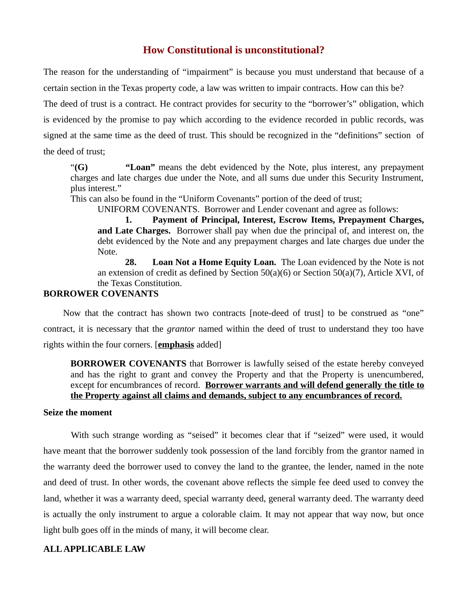The reason for the understanding of "impairment" is because you must understand that because of a certain section in the Texas property code, a law was written to impair contracts. How can this be?

The deed of trust is a contract. He contract provides for security to the "borrower's" obligation, which is evidenced by the promise to pay which according to the evidence recorded in public records, was signed at the same time as the deed of trust. This should be recognized in the "definitions" section of the deed of trust;

"**(G) "Loan"** means the debt evidenced by the Note, plus interest, any prepayment charges and late charges due under the Note, and all sums due under this Security Instrument, plus interest."

This can also be found in the "Uniform Covenants" portion of the deed of trust;

UNIFORM COVENANTS. Borrower and Lender covenant and agree as follows:

**1. Payment of Principal, Interest, Escrow Items, Prepayment Charges, and Late Charges.** Borrower shall pay when due the principal of, and interest on, the debt evidenced by the Note and any prepayment charges and late charges due under the Note.

**28. Loan Not a Home Equity Loan.** The Loan evidenced by the Note is not an extension of credit as defined by Section 50(a)(6) or Section 50(a)(7), Article XVI, of the Texas Constitution.

## **BORROWER COVENANTS**

 Now that the contract has shown two contracts [note-deed of trust] to be construed as "one" contract, it is necessary that the *grantor* named within the deed of trust to understand they too have rights within the four corners. [**emphasis** added]

**BORROWER COVENANTS** that Borrower is lawfully seised of the estate hereby conveyed and has the right to grant and convey the Property and that the Property is unencumbered, except for encumbrances of record. **Borrower warrants and will defend generally the title to the Property against all claims and demands, subject to any encumbrances of record.**

#### **Seize the moment**

With such strange wording as "seised" it becomes clear that if "seized" were used, it would have meant that the borrower suddenly took possession of the land forcibly from the grantor named in the warranty deed the borrower used to convey the land to the grantee, the lender, named in the note and deed of trust. In other words, the covenant above reflects the simple fee deed used to convey the land, whether it was a warranty deed, special warranty deed, general warranty deed. The warranty deed is actually the only instrument to argue a colorable claim. It may not appear that way now, but once light bulb goes off in the minds of many, it will become clear.

# **ALL APPLICABLE LAW**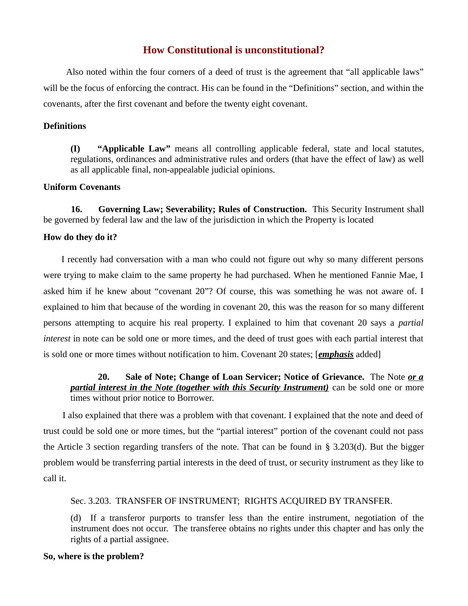Also noted within the four corners of a deed of trust is the agreement that "all applicable laws" will be the focus of enforcing the contract. His can be found in the "Definitions" section, and within the covenants, after the first covenant and before the twenty eight covenant.

## **Definitions**

**(I) "Applicable Law"** means all controlling applicable federal, state and local statutes, regulations, ordinances and administrative rules and orders (that have the effect of law) as well as all applicable final, non-appealable judicial opinions.

# **Uniform Covenants**

**16. Governing Law; Severability; Rules of Construction.** This Security Instrument shall be governed by federal law and the law of the jurisdiction in which the Property is located

### **How do they do it?**

 I recently had conversation with a man who could not figure out why so many different persons were trying to make claim to the same property he had purchased. When he mentioned Fannie Mae, I asked him if he knew about "covenant 20"? Of course, this was something he was not aware of. I explained to him that because of the wording in covenant 20, this was the reason for so many different persons attempting to acquire his real property. I explained to him that covenant 20 says a *partial interest* in note can be sold one or more times, and the deed of trust goes with each partial interest that is sold one or more times without notification to him. Covenant 20 states; [*emphasis* added]

**20. Sale of Note; Change of Loan Servicer; Notice of Grievance.** The Note *or a partial interest in the Note (together with this Security Instrument)* **can be sold one or more** times without prior notice to Borrower.

 I also explained that there was a problem with that covenant. I explained that the note and deed of trust could be sold one or more times, but the "partial interest" portion of the covenant could not pass the Article 3 section regarding transfers of the note. That can be found in § 3.203(d). But the bigger problem would be transferring partial interests in the deed of trust, or security instrument as they like to call it.

# Sec. 3.203. TRANSFER OF INSTRUMENT; RIGHTS ACQUIRED BY TRANSFER.

(d) If a transferor purports to transfer less than the entire instrument, negotiation of the instrument does not occur. The transferee obtains no rights under this chapter and has only the rights of a partial assignee.

### **So, where is the problem?**